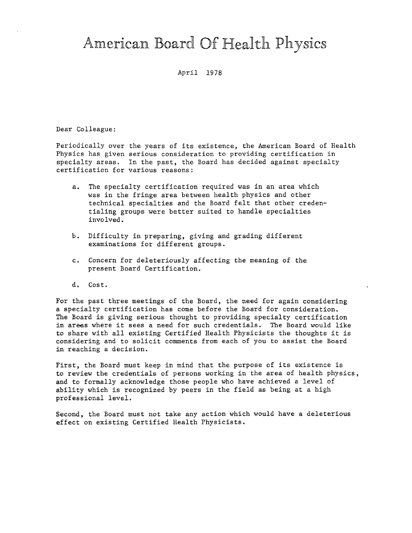## American Board Of Health Physics

April 1978

Dear Colleague:

Periodically over the years of its existence, the American Board of Health Physics has given serious consideration to providing certification in specialty areas. In the past, the Board has decided against specialty certification for various reasons:

- a. The specialty certification required was in an area which was in the fringe area between health physics and other technical specialties and the Board felt that other credentialing groups were better suited to handle specialties involved.
- b. Difficulty in preparing, giving and grading different examinations for different groups.
- c. Concern for deleteriously affecting the meaning of the present Board Certification.
- d, Cost.

For the past three meetings of the Board, the need for again considering a specialty certification has come before the Board for consideration. The Board is giving serious thought to providing specialty certification in areas where it sees a need for such credentials. The Board would like to share with all existing Certified Health Physicists the thoughts it is considering and to solicit comments from each of you to assist the Board in reaching a decision.

First, the Board must keep in mind that the purpose of its existence is to review the credentials of persons working in the area of health physics, and to formally acknowledge those people who have achieved a level of ability which is recognized by peers in the field as being at a high professional level.

Second, the Board must not take any action which would have a deleterious effect on existing Certified Health Physicists.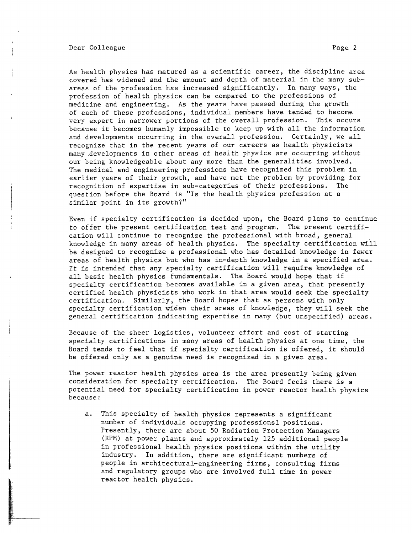Dear Colleague **Page 2** 

I

As health physics has matured as a scientific career, the discipline area covered has widened and the amount and depth of material in the many subareas of the profession has increased significantly. In many ways, the profession of health physics can be compared to the professions of medicine and engineering. As the years have passed during the growth of each of these professions, individual members have tended to become very expert in narrower portions of the overall profession. This occurs because it becomes humanly impossible to keep up with all the information and developments occurring in the overall profession. Certainly, we all recognize that in the recent years of our careers as health physicists many .developments in other areas of health physics are occurring without our being knowledgeable about any more than the generalities involved. The medical and engineering professions have recognized this problem in earlier years of their growth, and have met the problem by providing for<br>recognition of expertise in sub-categories of their professions. The recognition of expertise in sub-categories of their professions. question before the Board is "Is the health physics profession at a similar point in its growth?"

Even if specialty certification is decided upon, the Board plans to continue to offer the present certification test and program. The present certification will continue to recognize the professional with broad, general knowledge in many areas of health physics. The specialty certification will be designed to recognize a professional who has detailed knowledge in fewer areas of health physics but who has in-depth knowledge in a specified area. It is intended that any specialty certification will require knowledge of all basic health physics fundamentals. The Board would hope that if specialty certification becomes available in a given area, that presently certified health physicists who work in that area would seek the specialty certification. Similarly, the Board hopes that as persons with only specialty certification widen their areas of knowledge, they will seek the general certification indicating expertise in many (but unspecified) areas.

Because of the sheer logistics, volunteer effort and cost of starting specialty certifications in many areas of health physics at one time, the Board tends to feel that if specialty certification is offered, it should be offered only as a genuine need is recognized in a given area.

The power reactor health physics area is the area presently being given consideration for specialty certification. The Board feels there is a potential need for specialty certification in power reactor health physics because:

a. This specialty of health physics represents a significant number of individuals occupying professionsl positions. Presently, there are about 50 Radiation Protection Managers (RPM) at power plants and approximately 125 additional people in professional health physics positions within the utility industry. In addition, there are significant numbers of people in architectural-engineering firms, consulting firms and regulatory groups who are involved full time in power reactor health physics.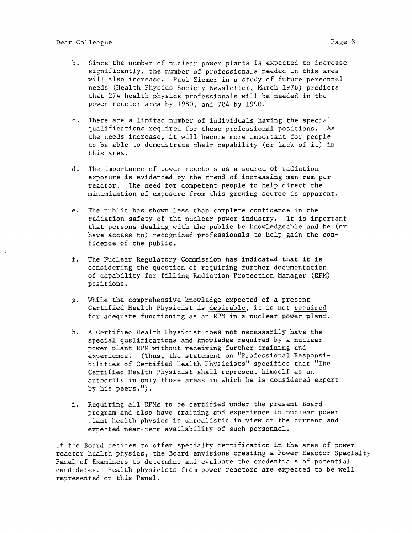- b. Since the number of nuclear power plants is expected to increase significantly. the number of professionals needed in this area will also increase. Paul Ziemer in a study of future personnel needs (Health Physics Society Newsletter, March 1976) predicts that 274 health physics professionals will be needed in the power reactor area by 1980, and 784 by 1990.
- c. There are <sup>a</sup>limited number of individuals having the special qualifications required for these professional positions. As the needs increase, it will become more important for people to be able to demonstrate their capability (or lack of it) in this area.
- d. The importance of power reactors as a source of radiation exposure is evidenced by the trend of increasing man-rem per reactor. The need for competent people to help direct the minimization of exposure from this growing source is apparent.
- e. The public has shown less than complete confidence in the radiation safety of the nuclear power industry. It is important that persons dealing with the public be knowledgeable and be (or have access to) recognized professionals to help gain the confidence of the public.
- f. The Nuclear Regulatory Commission has indicated that it is considering the question of requiring further documentation of capability for filling Radiation Protection Manager (RPM) positions.
- g. While the comprehensive knowledge expected of a presen<sup>t</sup> Certified Health Physicist is desirable, it is not required for adequate functioning as an RPM in a nuclear power plant.
- h. A Certified Health Physicist does not necessarily have the special quslifications and knowledge required by a nuclear power plant RPM without receiving further training and experience. (Thus, the statement on "Professional Responsibilities of Certified Health Physicists" specifies that "The Certified Health Physicist shall represent himself as an authority in only those areas in which he is considered exper<sup>t</sup> by his peers.").
- i. Requiring all RPMs to be certified under the present Board program and also have training and experience in nuclear power plant health physics is unrealistic in view of the current and expected near-term availability of such personnel.

If the Board decides to offer specialty certification in the area of power reactor health physics, the Board envisions creating a Power Reactor Specialty Panel of Examiners to determine and evaluate the credentials of potential candidates. Health physicists from power reactors are expected to be well represented on this Panel.